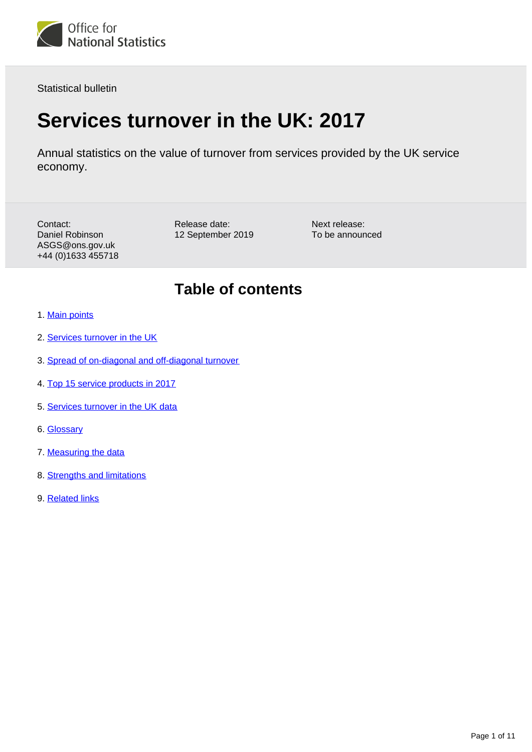

Statistical bulletin

# **Services turnover in the UK: 2017**

Annual statistics on the value of turnover from services provided by the UK service economy.

Contact: Daniel Robinson ASGS@ons.gov.uk +44 (0)1633 455718 Release date: 12 September 2019 Next release: To be announced

# **Table of contents**

- 1. [Main points](#page-1-0)
- 2. [Services turnover in the UK](#page-1-1)
- 3. [Spread of on-diagonal and off-diagonal turnover](#page-3-0)
- 4. [Top 15 service products in 2017](#page-5-0)
- 5. [Services turnover in the UK data](#page-7-0)
- 6. [Glossary](#page-7-1)
- 7. [Measuring the data](#page-7-2)
- 8. [Strengths and limitations](#page-9-0)
- 9. [Related links](#page-10-0)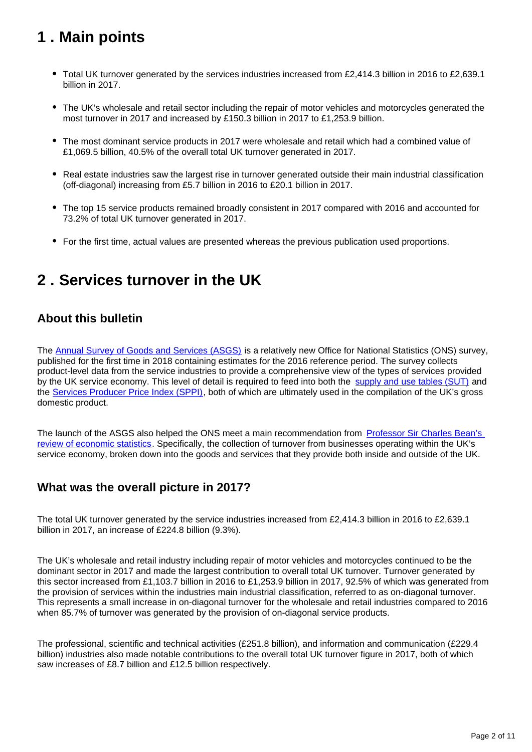# <span id="page-1-0"></span>**1 . Main points**

- Total UK turnover generated by the services industries increased from £2,414.3 billion in 2016 to £2,639.1 billion in 2017.
- The UK's wholesale and retail sector including the repair of motor vehicles and motorcycles generated the most turnover in 2017 and increased by £150.3 billion in 2017 to £1,253.9 billion.
- The most dominant service products in 2017 were wholesale and retail which had a combined value of £1,069.5 billion, 40.5% of the overall total UK turnover generated in 2017.
- Real estate industries saw the largest rise in turnover generated outside their main industrial classification (off-diagonal) increasing from £5.7 billion in 2016 to £20.1 billion in 2017.
- The top 15 service products remained broadly consistent in 2017 compared with 2016 and accounted for 73.2% of total UK turnover generated in 2017.
- For the first time, actual values are presented whereas the previous publication used proportions.

# <span id="page-1-1"></span>**2 . Services turnover in the UK**

## **About this bulletin**

The [Annual Survey of Goods and Services \(ASGS\)](https://www.ons.gov.uk/surveys/informationforbusinesses/businesssurveys/annualsurveyofgoodsandservicesasgs) is a relatively new Office for National Statistics (ONS) survey, published for the first time in 2018 containing estimates for the 2016 reference period. The survey collects product-level data from the service industries to provide a comprehensive view of the types of services provided by the UK service economy. This level of detail is required to feed into both the [supply and use tables \(SUT\)](https://www.ons.gov.uk/economy/nationalaccounts/supplyandusetables/datasets/inputoutputsupplyandusetables) and the [Services Producer Price Index \(SPPI\),](https://www.ons.gov.uk/economy/inflationandpriceindices/bulletins/servicesproducerpriceindices/previousReleases) both of which are ultimately used in the compilation of the UK's gross domestic product.

The launch of the ASGS also helped the ONS meet a main recommendation from [Professor Sir Charles Bean's](https://www.gov.uk/government/publications/independent-review-of-uk-economic-statistics-final-report)  [review of economic statistics](https://www.gov.uk/government/publications/independent-review-of-uk-economic-statistics-final-report). Specifically, the collection of turnover from businesses operating within the UK's service economy, broken down into the goods and services that they provide both inside and outside of the UK.

## **What was the overall picture in 2017?**

The total UK turnover generated by the service industries increased from £2,414.3 billion in 2016 to £2,639.1 billion in 2017, an increase of £224.8 billion (9.3%).

The UK's wholesale and retail industry including repair of motor vehicles and motorcycles continued to be the dominant sector in 2017 and made the largest contribution to overall total UK turnover. Turnover generated by this sector increased from £1,103.7 billion in 2016 to £1,253.9 billion in 2017, 92.5% of which was generated from the provision of services within the industries main industrial classification, referred to as on-diagonal turnover. This represents a small increase in on-diagonal turnover for the wholesale and retail industries compared to 2016 when 85.7% of turnover was generated by the provision of on-diagonal service products.

The professional, scientific and technical activities (£251.8 billion), and information and communication (£229.4 billion) industries also made notable contributions to the overall total UK turnover figure in 2017, both of which saw increases of £8.7 billion and £12.5 billion respectively.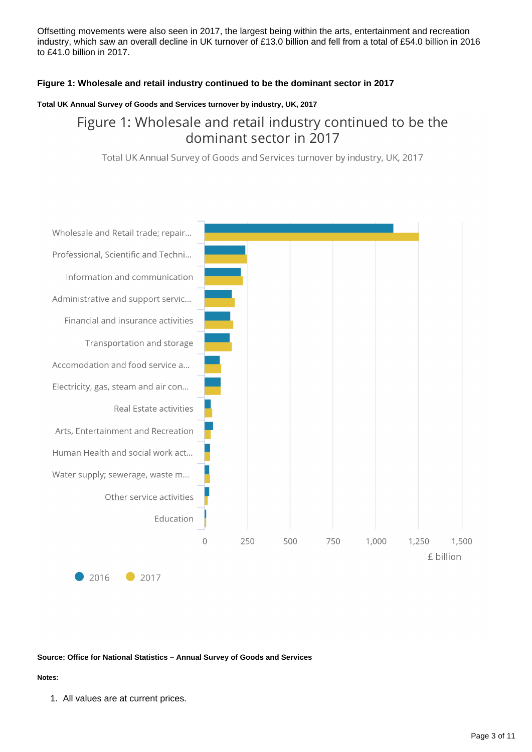Offsetting movements were also seen in 2017, the largest being within the arts, entertainment and recreation industry, which saw an overall decline in UK turnover of £13.0 billion and fell from a total of £54.0 billion in 2016 to £41.0 billion in 2017.

#### **Figure 1: Wholesale and retail industry continued to be the dominant sector in 2017**

#### **Total UK Annual Survey of Goods and Services turnover by industry, UK, 2017**

# Figure 1: Wholesale and retail industry continued to be the dominant sector in 2017

Total UK Annual Survey of Goods and Services turnover by industry, UK, 2017



#### **Source: Office for National Statistics – Annual Survey of Goods and Services**

#### **Notes:**

1. All values are at current prices.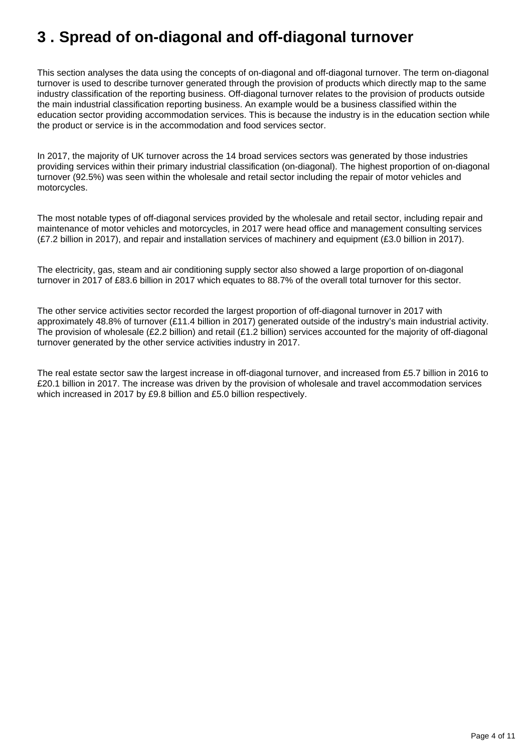# <span id="page-3-0"></span>**3 . Spread of on-diagonal and off-diagonal turnover**

This section analyses the data using the concepts of on-diagonal and off-diagonal turnover. The term on-diagonal turnover is used to describe turnover generated through the provision of products which directly map to the same industry classification of the reporting business. Off-diagonal turnover relates to the provision of products outside the main industrial classification reporting business. An example would be a business classified within the education sector providing accommodation services. This is because the industry is in the education section while the product or service is in the accommodation and food services sector.

In 2017, the majority of UK turnover across the 14 broad services sectors was generated by those industries providing services within their primary industrial classification (on-diagonal). The highest proportion of on-diagonal turnover (92.5%) was seen within the wholesale and retail sector including the repair of motor vehicles and motorcycles.

The most notable types of off-diagonal services provided by the wholesale and retail sector, including repair and maintenance of motor vehicles and motorcycles, in 2017 were head office and management consulting services (£7.2 billion in 2017), and repair and installation services of machinery and equipment (£3.0 billion in 2017).

The electricity, gas, steam and air conditioning supply sector also showed a large proportion of on-diagonal turnover in 2017 of £83.6 billion in 2017 which equates to 88.7% of the overall total turnover for this sector.

The other service activities sector recorded the largest proportion of off-diagonal turnover in 2017 with approximately 48.8% of turnover (£11.4 billion in 2017) generated outside of the industry's main industrial activity. The provision of wholesale (£2.2 billion) and retail (£1.2 billion) services accounted for the majority of off-diagonal turnover generated by the other service activities industry in 2017.

The real estate sector saw the largest increase in off-diagonal turnover, and increased from £5.7 billion in 2016 to £20.1 billion in 2017. The increase was driven by the provision of wholesale and travel accommodation services which increased in 2017 by £9.8 billion and £5.0 billion respectively.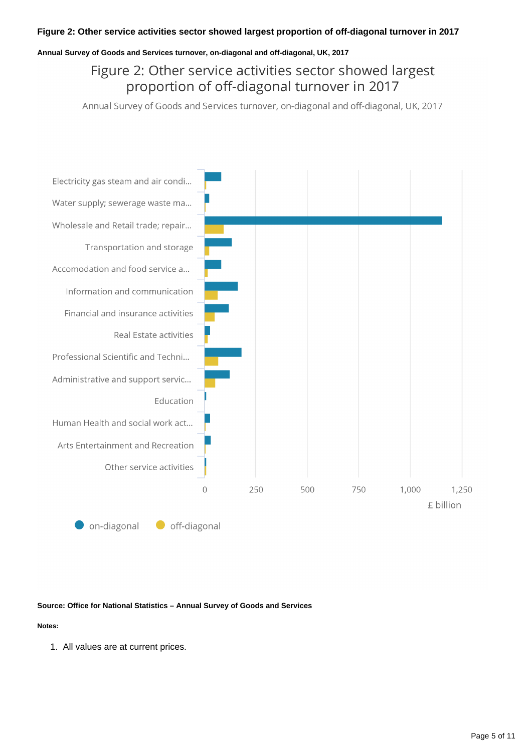#### **Annual Survey of Goods and Services turnover, on-diagonal and off-diagonal, UK, 2017**

# Figure 2: Other service activities sector showed largest proportion of off-diagonal turnover in 2017

Annual Survey of Goods and Services turnover, on-diagonal and off-diagonal, UK, 2017



#### **Source: Office for National Statistics – Annual Survey of Goods and Services**

#### **Notes:**

1. All values are at current prices.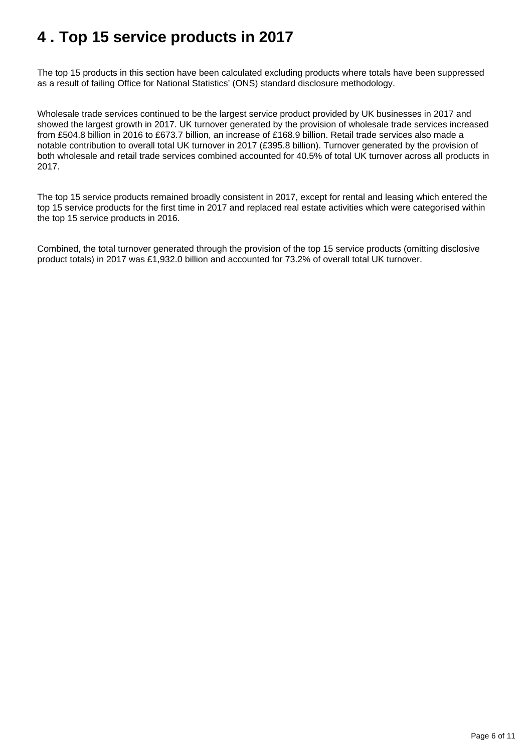# <span id="page-5-0"></span>**4 . Top 15 service products in 2017**

The top 15 products in this section have been calculated excluding products where totals have been suppressed as a result of failing Office for National Statistics' (ONS) standard disclosure methodology.

Wholesale trade services continued to be the largest service product provided by UK businesses in 2017 and showed the largest growth in 2017. UK turnover generated by the provision of wholesale trade services increased from £504.8 billion in 2016 to £673.7 billion, an increase of £168.9 billion. Retail trade services also made a notable contribution to overall total UK turnover in 2017 (£395.8 billion). Turnover generated by the provision of both wholesale and retail trade services combined accounted for 40.5% of total UK turnover across all products in 2017.

The top 15 service products remained broadly consistent in 2017, except for rental and leasing which entered the top 15 service products for the first time in 2017 and replaced real estate activities which were categorised within the top 15 service products in 2016.

Combined, the total turnover generated through the provision of the top 15 service products (omitting disclosive product totals) in 2017 was £1,932.0 billion and accounted for 73.2% of overall total UK turnover.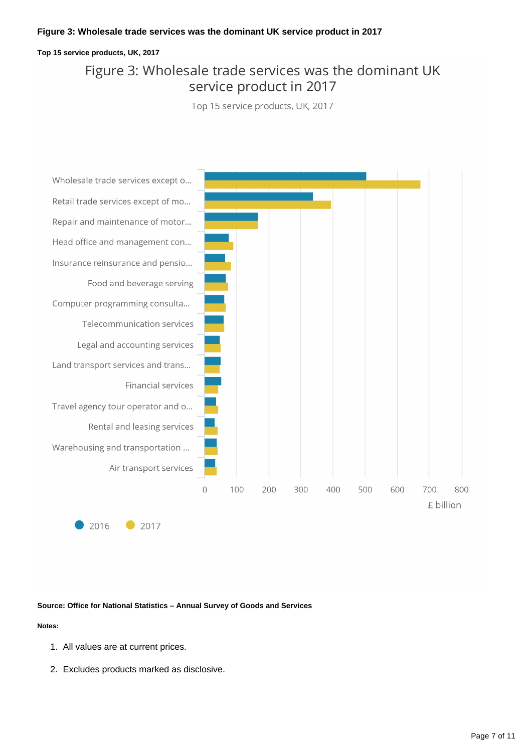#### **Figure 3: Wholesale trade services was the dominant UK service product in 2017**

#### **Top 15 service products, UK, 2017**

# Figure 3: Wholesale trade services was the dominant UK service product in 2017

Top 15 service products, UK, 2017



**Source: Office for National Statistics – Annual Survey of Goods and Services**

#### **Notes:**

- 1. All values are at current prices.
- 2. Excludes products marked as disclosive.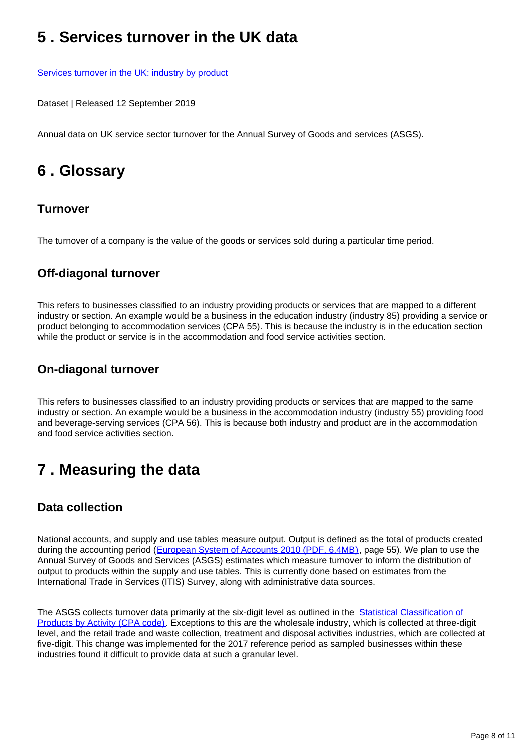# <span id="page-7-0"></span>**5 . Services turnover in the UK data**

[Services turnover in the UK: industry by product](https://www.ons.gov.uk/businessindustryandtrade/business/businessservices/datasets/servicesturnoverintheuk)

Dataset | Released 12 September 2019

Annual data on UK service sector turnover for the Annual Survey of Goods and services (ASGS).

# <span id="page-7-1"></span>**6 . Glossary**

## **Turnover**

The turnover of a company is the value of the goods or services sold during a particular time period.

## **Off-diagonal turnover**

This refers to businesses classified to an industry providing products or services that are mapped to a different industry or section. An example would be a business in the education industry (industry 85) providing a service or product belonging to accommodation services (CPA 55). This is because the industry is in the education section while the product or service is in the accommodation and food service activities section.

## **On-diagonal turnover**

This refers to businesses classified to an industry providing products or services that are mapped to the same industry or section. An example would be a business in the accommodation industry (industry 55) providing food and beverage-serving services (CPA 56). This is because both industry and product are in the accommodation and food service activities section.

# <span id="page-7-2"></span>**7 . Measuring the data**

## **Data collection**

National accounts, and supply and use tables measure output. Output is defined as the total of products created during the accounting period ([European System of Accounts 2010 \(PDF, 6.4MB\),](https://ec.europa.eu/eurostat/cache/metadata/Annexes/nasa_10_f_esms_an1.pdf) page 55). We plan to use the Annual Survey of Goods and Services (ASGS) estimates which measure turnover to inform the distribution of output to products within the supply and use tables. This is currently done based on estimates from the International Trade in Services (ITIS) Survey, along with administrative data sources.

The ASGS collects turnover data primarily at the six-digit level as outlined in the Statistical Classification of [Products by Activity \(CPA code\).](https://www.ons.gov.uk/methodology/classificationsandstandards/otherclassifications/standardandothernationalandinternationalclassifications) Exceptions to this are the wholesale industry, which is collected at three-digit level, and the retail trade and waste collection, treatment and disposal activities industries, which are collected at five-digit. This change was implemented for the 2017 reference period as sampled businesses within these industries found it difficult to provide data at such a granular level.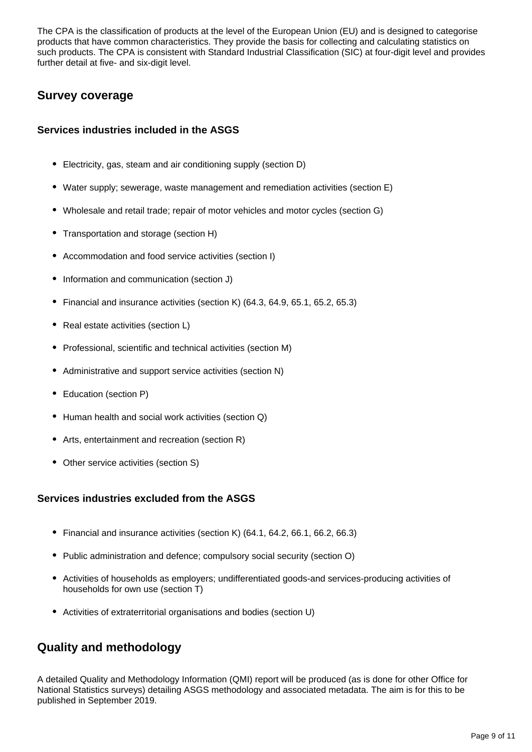The CPA is the classification of products at the level of the European Union (EU) and is designed to categorise products that have common characteristics. They provide the basis for collecting and calculating statistics on such products. The CPA is consistent with Standard Industrial Classification (SIC) at four-digit level and provides further detail at five- and six-digit level.

## **Survey coverage**

### **Services industries included in the ASGS**

- Electricity, gas, steam and air conditioning supply (section D)
- Water supply; sewerage, waste management and remediation activities (section E)
- Wholesale and retail trade; repair of motor vehicles and motor cycles (section G)
- Transportation and storage (section H)
- Accommodation and food service activities (section I)
- Information and communication (section J)
- Financial and insurance activities (section K) (64.3, 64.9, 65.1, 65.2, 65.3)
- Real estate activities (section L)
- Professional, scientific and technical activities (section M)
- Administrative and support service activities (section N)
- Education (section P)
- Human health and social work activities (section Q)
- Arts, entertainment and recreation (section R)
- Other service activities (section S)

### **Services industries excluded from the ASGS**

- Financial and insurance activities (section K) (64.1, 64.2, 66.1, 66.2, 66.3)
- Public administration and defence; compulsory social security (section O)
- Activities of households as employers; undifferentiated goods-and services-producing activities of households for own use (section T)
- Activities of extraterritorial organisations and bodies (section U)

## **Quality and methodology**

A detailed Quality and Methodology Information (QMI) report will be produced (as is done for other Office for National Statistics surveys) detailing ASGS methodology and associated metadata. The aim is for this to be published in September 2019.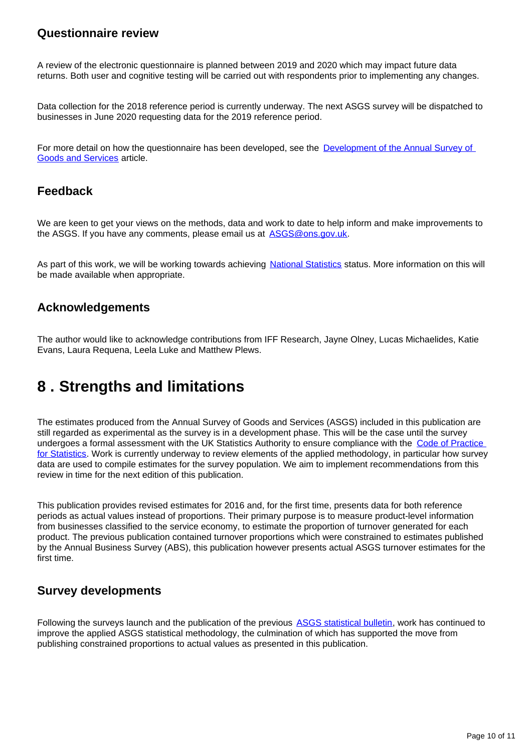### **Questionnaire review**

A review of the electronic questionnaire is planned between 2019 and 2020 which may impact future data returns. Both user and cognitive testing will be carried out with respondents prior to implementing any changes.

Data collection for the 2018 reference period is currently underway. The next ASGS survey will be dispatched to businesses in June 2020 requesting data for the 2019 reference period.

For more detail on how the questionnaire has been developed, see the [Development of the Annual Survey of](https://www.ons.gov.uk/businessindustryandtrade/business/businessservices/articles/developmentoftheannualsurveyofgoodsandservices/2018-08-31)  [Goods and Services](https://www.ons.gov.uk/businessindustryandtrade/business/businessservices/articles/developmentoftheannualsurveyofgoodsandservices/2018-08-31) article.

### **Feedback**

We are keen to get your views on the methods, data and work to date to help inform and make improvements to the ASGS. If you have any comments, please email us at ASGS@ons.gov.uk.

As part of this work, we will be working towards achieving [National Statistics](https://www.statisticsauthority.gov.uk/about-the-authority/uk-statistical-system/types-of-official-statistics/) status. More information on this will be made available when appropriate.

## **Acknowledgements**

The author would like to acknowledge contributions from IFF Research, Jayne Olney, Lucas Michaelides, Katie Evans, Laura Requena, Leela Luke and Matthew Plews.

# <span id="page-9-0"></span>**8 . Strengths and limitations**

The estimates produced from the Annual Survey of Goods and Services (ASGS) included in this publication are still regarded as experimental as the survey is in a development phase. This will be the case until the survey undergoes a formal assessment with the UK Statistics Authority to ensure compliance with the Code of Practice [for Statistics.](https://www.statisticsauthority.gov.uk/code-of-practice/the-code/) Work is currently underway to review elements of the applied methodology, in particular how survey data are used to compile estimates for the survey population. We aim to implement recommendations from this review in time for the next edition of this publication.

This publication provides revised estimates for 2016 and, for the first time, presents data for both reference periods as actual values instead of proportions. Their primary purpose is to measure product-level information from businesses classified to the service economy, to estimate the proportion of turnover generated for each product. The previous publication contained turnover proportions which were constrained to estimates published by the Annual Business Survey (ABS), this publication however presents actual ASGS turnover estimates for the first time.

## **Survey developments**

Following the surveys launch and the publication of the previous [ASGS statistical bulletin](https://www.ons.gov.uk/businessindustryandtrade/business/businessservices/bulletins/annualsurveyofgoodsandservices/2016), work has continued to improve the applied ASGS statistical methodology, the culmination of which has supported the move from publishing constrained proportions to actual values as presented in this publication.